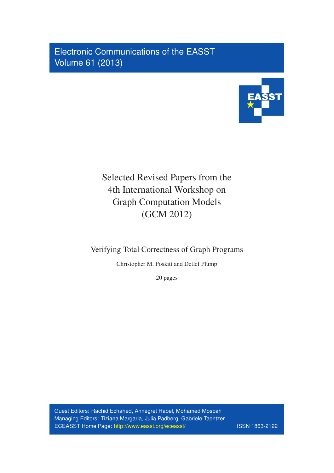Electronic Communications of the EASST Volume 61 (2013)



# Selected Revised Papers from the 4th International Workshop on Graph Computation Models (GCM 2012)

Verifying Total Correctness of Graph Programs

Christopher M. Poskitt and Detlef Plump

20 pages

Guest Editors: Rachid Echahed, Annegret Habel, Mohamed Mosbah Managing Editors: Tiziana Margaria, Julia Padberg, Gabriele Taentzer ECEASST Home Page: <http://www.easst.org/eceasst/> ISSN 1863-2122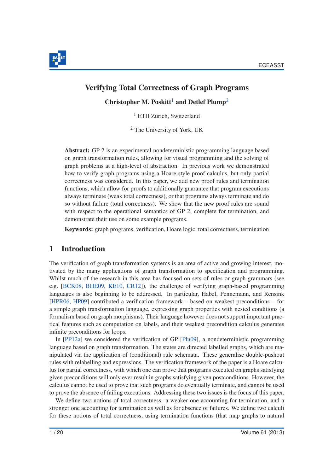

# <span id="page-1-0"></span>Verifying Total Correctness of Graph Programs

### Christopher M. Poskitt<sup>[1](#page-1-0)</sup> and Detlef Plump<sup>[2](#page-1-1)</sup>

 $<sup>1</sup>$  ETH Zürich, Switzerland</sup>

<sup>2</sup> The University of York, UK

<span id="page-1-1"></span>Abstract: GP 2 is an experimental nondeterministic programming language based on graph transformation rules, allowing for visual programming and the solving of graph problems at a high-level of abstraction. In previous work we demonstrated how to verify graph programs using a Hoare-style proof calculus, but only partial correctness was considered. In this paper, we add new proof rules and termination functions, which allow for proofs to additionally guarantee that program executions always terminate (weak total correctness), or that programs always terminate and do so without failure (total correctness). We show that the new proof rules are sound with respect to the operational semantics of GP 2, complete for termination, and demonstrate their use on some example programs.

Keywords: graph programs, verification, Hoare logic, total correctness, termination

# 1 Introduction

The verification of graph transformation systems is an area of active and growing interest, motivated by the many applications of graph transformation to specification and programming. Whilst much of the research in this area has focused on sets of rules or graph grammars (see e.g. [\[BCK08,](#page-19-0) [BHE09,](#page-19-1) [KE10,](#page-20-0) [CR12\]](#page-19-2)), the challenge of verifying graph-based programming languages is also beginning to be addressed. In particular, Habel, Pennemann, and Rensink [\[HPR06,](#page-20-1) [HP09\]](#page-20-2) contributed a verification framework – based on weakest preconditions – for a simple graph transformation language, expressing graph properties with nested conditions (a formalism based on graph morphisms). Their language however does not support important practical features such as computation on labels, and their weakest precondition calculus generates infinite preconditions for loops.

In [\[PP12a\]](#page-20-3) we considered the verification of GP [\[Plu09\]](#page-20-4), a nondeterministic programming language based on graph transformation. The states are directed labelled graphs, which are manipulated via the application of (conditional) rule schemata. These generalise double-pushout rules with relabelling and expressions. The verification framework of the paper is a Hoare calculus for partial correctness, with which one can prove that programs executed on graphs satisfying given preconditions will only ever result in graphs satisfying given postconditions. However, the calculus cannot be used to prove that such programs do eventually terminate, and cannot be used to prove the absence of failing executions. Addressing these two issues is the focus of this paper.

We define two notions of total correctness: a weaker one accounting for termination, and a stronger one accounting for termination as well as for absence of failures. We define two calculi for these notions of total correctness, using termination functions (that map graphs to natural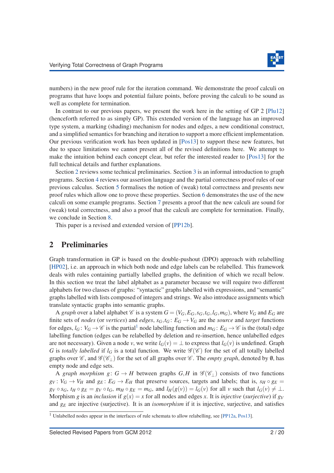

numbers) in the new proof rule for the iteration command. We demonstrate the proof calculi on programs that have loops and potential failure points, before proving the calculi to be sound as well as complete for termination.

In contrast to our previous papers, we present the work here in the setting of GP 2 [\[Plu12\]](#page-20-5) (henceforth referred to as simply GP). This extended version of the language has an improved type system, a marking (shading) mechanism for nodes and edges, a new conditional construct, and a simplified semantics for branching and iteration to support a more efficient implementation. Our previous verification work has been updated in [\[Pos13\]](#page-20-6) to support these new features, but due to space limitations we cannot present all of the revised definitions here. We attempt to make the intuition behind each concept clear, but refer the interested reader to [\[Pos13\]](#page-20-6) for the full technical details and further explanations.

Section [2](#page-2-0) reviews some technical preliminaries. Section [3](#page-4-0) is an informal introduction to graph programs. Section [4](#page-8-0) reviews our assertion language and the partial correctness proof rules of our previous calculus. Section [5](#page-12-0) formalises the notion of (weak) total correctness and presents new proof rules which allow one to prove these properties. Section [6](#page-13-0) demonstrates the use of the new calculi on some example programs. Section [7](#page-17-0) presents a proof that the new calculi are sound for (weak) total correctness, and also a proof that the calculi are complete for termination. Finally, we conclude in Section [8.](#page-19-3)

This paper is a revised and extended version of [\[PP12b\]](#page-20-7).

### <span id="page-2-0"></span>2 Preliminaries

Graph transformation in GP is based on the double-pushout (DPO) approach with relabelling [\[HP02\]](#page-19-4), i.e. an approach in which both node and edge labels can be relabelled. This framework deals with rules containing partially labelled graphs, the definition of which we recall below. In this section we treat the label alphabet as a parameter because we will require two different alphabets for two classes of graphs: "syntactic" graphs labelled with expressions, and "semantic" graphs labelled with lists composed of integers and strings. We also introduce assignments which translate syntactic graphs into semantic graphs.

A *graph* over a label alphabet  $\mathcal{C}$  is a system  $G = (V_G, E_G, s_G, t_G, l_G, m_G)$ , where  $V_G$  and  $E_G$  are finite sets of *nodes* (or *vertices*) and *edges*,  $s_G$ ,  $t_G$ :  $E_G \rightarrow V_G$  are the *source* and *target* functions for edges,  $l_G: V_G \to \mathcal{C}$  is the partial<sup>[1](#page-2-1)</sup> node labelling function and  $m_G: E_G \to \mathcal{C}$  is the (total) edge labelling function (edges can be relabelled by deletion and re-insertion, hence unlabelled edges are not necessary). Given a node *v*, we write  $l_G(v) = \perp$  to express that  $l_G(v)$  is undefined. Graph *G* is *totally labelled* if  $l_G$  is a total function. We write  $\mathcal{G}(\mathcal{C})$  for the set of all totally labelled graphs over  $\mathcal{C}$ , and  $\mathcal{G}(\mathcal{C}_\perp)$  for the set of all graphs over  $\mathcal{C}$ . The *empty graph*, denoted by  $\emptyset$ , has empty node and edge sets.

A *graph morphism g*:  $G \rightarrow H$  between graphs  $G, H$  in  $\mathscr{G}(\mathscr{C}_\perp)$  consists of two functions  $g_V: V_G \to V_H$  and  $g_E: E_G \to E_H$  that preserve sources, targets and labels; that is,  $s_H \circ g_E =$  $g_V \circ s_G$ ,  $t_H \circ g_E = g_V \circ t_G$ ,  $m_H \circ g_E = m_G$ , and  $l_H(g(v)) = l_G(v)$  for all v such that  $l_G(v) \neq \perp$ . Morphism *g* is an *inclusion* if  $g(x) = x$  for all nodes and edges *x*. It is *injective* (*surjective*) if  $g_V$ and *g<sup>E</sup>* are injective (surjective). It is an *isomorphism* if it is injective, surjective, and satisfies

<span id="page-2-1"></span><sup>1</sup> Unlabelled nodes appear in the interfaces of rule schemata to allow relabelling, see [\[PP12a,](#page-20-3) [Pos13\]](#page-20-6).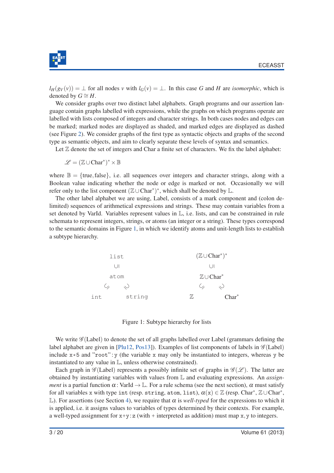

 $l_H(g_V(v)) = \perp$  for all nodes *v* with  $l_G(v) = \perp$ . In this case *G* and *H* are *isomorphic*, which is denoted by  $G \cong H$ .

We consider graphs over two distinct label alphabets. Graph programs and our assertion language contain graphs labelled with expressions, while the graphs on which programs operate are labelled with lists composed of integers and character strings. In both cases nodes and edges can be marked; marked nodes are displayed as shaded, and marked edges are displayed as dashed (see Figure [2\)](#page-5-0). We consider graphs of the first type as syntactic objects and graphs of the second type as semantic objects, and aim to clearly separate these levels of syntax and semantics.

Let  $\mathbb Z$  denote the set of integers and Char a finite set of characters. We fix the label alphabet:

 $\mathscr{L} = (\mathbb{Z} \cup \text{Char}^*)^* \times \mathbb{B}$ 

where  $\mathbb{B} = \{\text{true}, \text{false}\},$  i.e. all sequences over integers and character strings, along with a Boolean value indicating whether the node or edge is marked or not. Occasionally we will refer only to the list component  $(\mathbb{Z} \cup \text{Char}^*)^*$ , which shall be denoted by  $\mathbb{L}$ .

The other label alphabet we are using, Label, consists of a mark component and (colon delimited) sequences of arithmetical expressions and strings. These may contain variables from a set denoted by VarId. Variables represent values in  $\mathbb{L}$ , i.e. lists, and can be constrained in rule schemata to represent integers, strings, or atoms (an integer or a string). These types correspond to the semantic domains in Figure [1,](#page-3-0) in which we identify atoms and unit-length lists to establish a subtype hierarchy.

<span id="page-3-0"></span>

Figure 1: Subtype hierarchy for lists

We write  $\mathscr{G}(Label)$  to denote the set of all graphs labelled over Label (grammars defining the label alphabet are given in [\[Plu12,](#page-20-5) [Pos13\]](#page-20-6)). Examples of list components of labels in  $\mathscr{G}($ Label) include  $x \times 5$  and "root": y (the variable x may only be instantiated to integers, whereas y be instantiated to any value in L, unless otherwise constrained).

Each graph in  $\mathscr{G}(Label)$  represents a possibly infinite set of graphs in  $\mathscr{G}(\mathscr{L})$ . The latter are obtained by instantiating variables with values from L and evaluating expressions. An *assignment* is a partial function  $\alpha$ : VarId  $\rightarrow \mathbb{L}$ . For a rule schema (see the next section),  $\alpha$  must satisfy for all variables x with type int (resp. string, atom, list),  $\alpha(x) \in \mathbb{Z}$  (resp. Char $^*$ ,  $\mathbb{Z} \cup$ Char $^*$ , L). For assertions (see Section [4\)](#page-8-0), we require that  $\alpha$  is *well-typed* for the expressions to which it is applied, i.e. it assigns values to variables of types determined by their contexts. For example, a well-typed assignment for  $x+y:z$  (with + interpreted as addition) must map x, y to integers.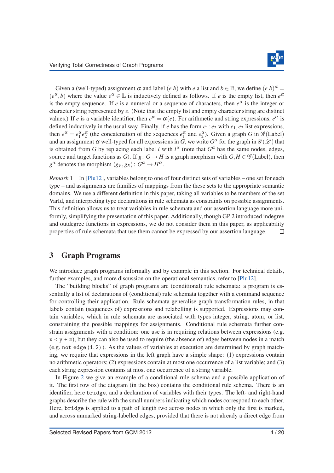

Given a (well-typed) assignment  $\alpha$  and label  $(e b)$  with  $e a$  list and  $b \in \mathbb{B}$ , we define  $(e b)^{\alpha} =$  $(e^{\alpha}, b)$  where the value  $e^{\alpha} \in \mathbb{L}$  is inductively defined as follows. If *e* is the empty list, then  $e^{\alpha}$ is the empty sequence. If  $e$  is a numeral or a sequence of characters, then  $e^{\alpha}$  is the integer or character string represented by *e*. (Note that the empty list and empty character string are distinct values.) If *e* is a variable identifier, then  $e^{\alpha} = \alpha(e)$ . For arithmetic and string expressions,  $e^{\alpha}$  is defined inductively in the usual way. Finally, if *e* has the form  $e_1 : e_2$  with  $e_1, e_2$  list expressions, then  $e^{\alpha} = e_1^{\alpha} e_2^{\alpha}$  (the concatenation of the sequences  $e_1^{\alpha}$  and  $e_2^{\alpha}$ ). Given a graph *G* in  $\mathscr{G}$ (Label) and an assignment  $\alpha$  well-typed for all expressions in *G*, we write  $G^{\alpha}$  for the graph in  $\mathscr{G}(\mathscr{L})$  that is obtained from *G* by replacing each label *l* with  $l^{\alpha}$  (note that  $G^{\alpha}$  has the same nodes, edges, source and target functions as *G*). If  $g: G \to H$  is a graph morphism with  $G, H \in \mathscr{G}$  (Label), then *g*<sup>α</sup> denotes the morphism  $\langle g_V, g_E \rangle$ :  $G^{\alpha} \rightarrow H^{\alpha}$ .

*Remark* 1 In [\[Plu12\]](#page-20-5), variables belong to one of four distinct sets of variables – one set for each type – and assignments are families of mappings from the these sets to the appropriate semantic domains. We use a different definition in this paper, taking all variables to be members of the set VarId, and interpreting type declarations in rule schemata as constraints on possible assignments. This definition allows us to treat variables in rule schemata and our assertion language more uniformly, simplifying the presentation of this paper. Additionally, though GP 2 introduced indegree and outdegree functions in expressions, we do not consider them in this paper, as applicability properties of rule schemata that use them cannot be expressed by our assertion language.  $\Box$ 

# <span id="page-4-0"></span>3 Graph Programs

We introduce graph programs informally and by example in this section. For technical details, further examples, and more discussion on the operational semantics, refer to [\[Plu12\]](#page-20-5).

The "building blocks" of graph programs are (conditional) rule schemata: a program is essentially a list of declarations of (conditional) rule schemata together with a command sequence for controlling their application. Rule schemata generalise graph transformation rules, in that labels contain (sequences of) expressions and relabelling is supported. Expressions may contain variables, which in rule schemata are associated with types integer, string, atom, or list, constraining the possible mappings for assignments. Conditional rule schemata further constrain assignments with a condition: one use is in requiring relations between expressions (e.g.  $x < y + z$ ), but they can also be used to require (the absence of) edges between nodes in a match (e.g. not edge(1,2)). As the values of variables at execution are determined by graph matching, we require that expressions in the left graph have a simple shape: (1) expressions contain no arithmetic operators; (2) expressions contain at most one occurrence of a list variable; and (3) each string expression contains at most one occurrence of a string variable.

In Figure [2](#page-5-0) we give an example of a conditional rule schema and a possible application of it. The first row of the diagram (in the box) contains the conditional rule schema. There is an identifier, here bridge, and a declaration of variables with their types. The left- and right-hand graphs describe the rule with the small numbers indicating which nodes correspond to each other. Here, bridge is applied to a path of length two across nodes in which only the first is marked, and across unmarked string-labelled edges, provided that there is not already a direct edge from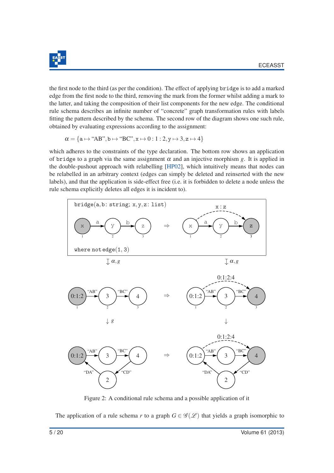

the first node to the third (as per the condition). The effect of applying bridge is to add a marked edge from the first node to the third, removing the mark from the former whilst adding a mark to the latter, and taking the composition of their list components for the new edge. The conditional rule schema describes an infinite number of "concrete" graph transformation rules with labels fitting the pattern described by the schema. The second row of the diagram shows one such rule, obtained by evaluating expressions according to the assignment:

$$
\alpha = \{ \mathtt{a} \mapsto ``\mathtt{AB"} , \mathtt{b} \mapsto ``\mathtt{BC"} , \mathtt{x} \mapsto 0 : 1 : 2, \mathtt{y} \mapsto 3, \mathtt{z} \mapsto 4 \}
$$

which adheres to the constraints of the type declaration. The bottom row shows an application of bridge to a graph via the same assignment  $\alpha$  and an injective morphism g. It is applied in the double-pushout approach with relabelling [\[HP02\]](#page-19-4), which intuitively means that nodes can be relabelled in an arbitrary context (edges can simply be deleted and reinserted with the new labels), and that the application is side-effect free (i.e. it is forbidden to delete a node unless the rule schema explicitly deletes all edges it is incident to).

<span id="page-5-0"></span>

Figure 2: A conditional rule schema and a possible application of it

The application of a rule schema *r* to a graph  $G \in \mathcal{G}(\mathcal{L})$  that yields a graph isomorphic to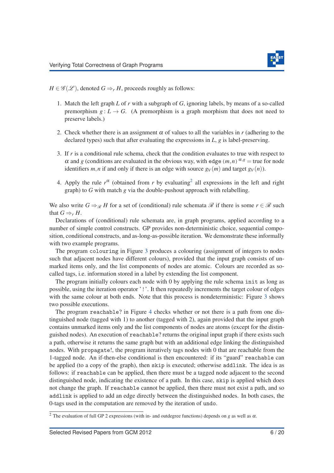

 $H \in \mathscr{G}(\mathscr{L})$ , denoted  $G \Rightarrow rH$ , proceeds roughly as follows:

- 1. Match the left graph *L* of *r* with a subgraph of *G*, ignoring labels, by means of a so-called premorphism  $g: L \to G$ . (A premorphism is a graph morphism that does not need to preserve labels.)
- 2. Check whether there is an assignment  $\alpha$  of values to all the variables in *r* (adhering to the declared types) such that after evaluating the expressions in *L*, *g* is label-preserving.
- 3. If *r* is a conditional rule schema, check that the condition evaluates to true with respect to  $\alpha$  and *g* (conditions are evaluated in the obvious way, with edge (*m*,*n*)  $\alpha$ <sup>*,g*</sup> = true for node identifiers *m*, *n* if and only if there is an edge with source  $g_V(m)$  and target  $g_V(n)$ .
- 4. Apply the rule  $r^{\alpha}$  (obtained from *r* by evaluating<sup>[2](#page-6-0)</sup> all expressions in the left and right graph) to *G* with match *g* via the double-pushout approach with relabelling.

We also write  $G \Rightarrow_{\mathscr{R}} H$  for a set of (conditional) rule schemata  $\mathscr{R}$  if there is some  $r \in \mathscr{R}$  such that  $G \Rightarrow_r H$ .

Declarations of (conditional) rule schemata are, in graph programs, applied according to a number of simple control constructs. GP provides non-deterministic choice, sequential composition, conditional constructs, and as-long-as-possible iteration. We demonstrate these informally with two example programs.

The program colouring in Figure [3](#page-7-0) produces a colouring (assignment of integers to nodes such that adjacent nodes have different colours), provided that the input graph consists of unmarked items only, and the list components of nodes are atomic. Colours are recorded as socalled tags, i.e. information stored in a label by extending the list component.

The program initially colours each node with 0 by applying the rule schema init as long as possible, using the iteration operator '!'. It then repeatedly increments the target colour of edges with the same colour at both ends. Note that this process is nondeterministic: Figure [3](#page-7-0) shows two possible executions.

The program reachable? in Figure [4](#page-8-1) checks whether or not there is a path from one distinguished node (tagged with 1) to another (tagged with 2), again provided that the input graph contains unmarked items only and the list components of nodes are atoms (except for the distinguished nodes). An execution of reachable? returns the original input graph if there exists such a path, otherwise it returns the same graph but with an additional edge linking the distinguished nodes. With propagate!, the program iteratively tags nodes with 0 that are reachable from the 1-tagged node. An if-then-else conditional is then encountered: if its "guard" reachable can be applied (to a copy of the graph), then skip is executed; otherwise addlink. The idea is as follows: if reachable can be applied, then there must be a tagged node adjacent to the second distinguished node, indicating the existence of a path. In this case, skip is applied which does not change the graph. If reachable cannot be applied, then there must not exist a path, and so addlink is applied to add an edge directly between the distinguished nodes. In both cases, the 0-tags used in the computation are removed by the iteration of undo.

<span id="page-6-0"></span> $\sqrt{2}$  The evaluation of full GP 2 expressions (with in- and outdegree functions) depends on *g* as well as  $\alpha$ .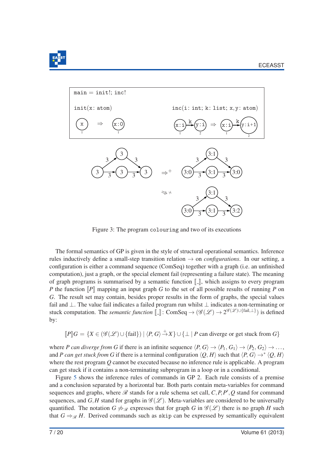

<span id="page-7-0"></span>

Figure 3: The program colouring and two of its executions

The formal semantics of GP is given in the style of structural operational semantics. Inference rules inductively define a small-step transition relation  $\rightarrow$  on *configurations*. In our setting, a configuration is either a command sequence (ComSeq) together with a graph (i.e. an unfinished computation), just a graph, or the special element fail (representing a failure state). The meaning of graph programs is summarised by a semantic function  $\llbracket \cdot \rrbracket$ , which assigns to every program *P* the function  $\llbracket P \rrbracket$  mapping an input graph *G* to the set of all possible results of running *P* on *G*. The result set may contain, besides proper results in the form of graphs, the special values fail and ⊥. The value fail indicates a failed program run whilst ⊥ indicates a non-terminating or stuck computation. The *semantic function*  $\llbracket \cdot \rrbracket$ : ComSeq  $\rightarrow (\mathscr{G}(\mathscr{L}) \rightarrow 2^{\mathscr{G}(\mathscr{L}) \cup \{\text{fail}, \bot\}})$  is defined by:

$$
[\![P]\!]G = \{ X \in (\mathcal{G}(\mathcal{L}) \cup \{\text{fail}\}) \mid \langle P, G \rangle \stackrel{+}{\to} X \} \cup \{ \perp \mid P \text{ can diverge or get stuck from } G \}
$$

where *P* can diverge from *G* if there is an infinite sequence  $\langle P, G \rangle \rightarrow \langle P_1, G_1 \rangle \rightarrow \langle P_2, G_2 \rangle \rightarrow \dots$ and *P can get stuck from G* if there is a terminal configuration  $\langle Q, H \rangle$  such that  $\langle P, G \rangle \rightarrow^* \langle Q, H \rangle$ where the rest program *Q* cannot be executed because no inference rule is applicable. A program can get stuck if it contains a non-terminating subprogram in a loop or in a conditional.

Figure [5](#page-9-0) shows the inference rules of commands in GP 2. Each rule consists of a premise and a conclusion separated by a horizontal bar. Both parts contain meta-variables for command sequences and graphs, where  $\Re$  stands for a rule schema set call,  $C, P, P', Q$  stand for command sequences, and  $G$ , *H* stand for graphs in  $\mathscr{G}(\mathscr{L})$ . Meta-variables are considered to be universally quantified. The notation  $G \nightharpoonup_{\mathscr{R}}$  expresses that for graph *G* in  $\mathscr{G}(\mathscr{L})$  there is no graph *H* such that  $G \Rightarrow_{\mathcal{R}} H$ . Derived commands such as skip can be expressed by semantically equivalent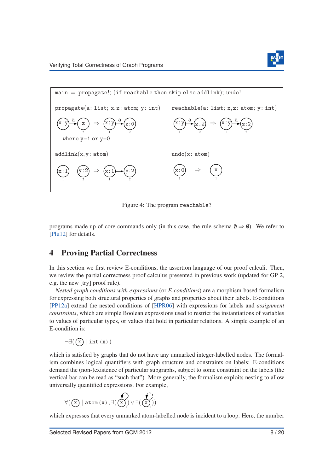

<span id="page-8-1"></span>

Figure 4: The program reachable?

programs made up of core commands only (in this case, the rule schema  $\emptyset \Rightarrow \emptyset$ ). We refer to [\[Plu12\]](#page-20-5) for details.

# <span id="page-8-0"></span>4 Proving Partial Correctness

In this section we first review E-conditions, the assertion language of our proof calculi. Then, we review the partial correctness proof calculus presented in previous work (updated for GP 2, e.g. the new [try] proof rule).

<span id="page-8-2"></span>*Nested graph conditions with expressions* (or *E-conditions*) are a morphism-based formalism for expressing both structural properties of graphs and properties about their labels. E-conditions [\[PP12a\]](#page-20-3) extend the nested conditions of [\[HPR06\]](#page-20-1) with expressions for labels and *assignment constraints*, which are simple Boolean expressions used to restrict the instantiations of variables to values of particular types, or values that hold in particular relations. A simple example of an E-condition is:

 $\neg \exists (\bigcirc x) | \text{int}(x))$ 

which is satisfied by graphs that do not have any unmarked integer-labelled nodes. The formalism combines logical quantifiers with graph structure and constraints on labels: E-conditions demand the (non-)existence of particular subgraphs, subject to some constraint on the labels (the vertical bar can be read as "such that"). More generally, the formalism exploits nesting to allow universally quantified expressions. For example,

$$
\forall (\bigcirc \limits_1 \mid \mathtt{atom}\left( \mathtt{x} \right), \exists (\bigcirc \limits_1 \bigcirc \limits_1) \vee \exists (\bigcirc \limits_1 \bigcirc \limits_1)
$$

which expresses that every unmarked atom-labelled node is incident to a loop. Here, the number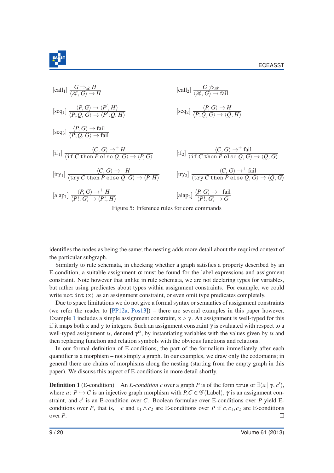

<span id="page-9-0"></span>
$$
[call_1] \frac{G \Rightarrow_{\mathcal{R}} H}{\langle \mathcal{R}, G \rangle \to H}
$$
\n
$$
[seq_1] \frac{\langle P, G \rangle \to \langle P', H \rangle}{\langle P, Q, G \rangle \to \langle P', Q, H \rangle}
$$
\n
$$
[seq_2] \frac{\langle P, G \rangle \to H}{\langle P, Q, G \rangle \to \langle Q, H \rangle}
$$
\n
$$
[seq_3] \frac{\langle P, G \rangle \to fail}{\langle P, Q, G \rangle \to fail}
$$
\n
$$
[if_1] \frac{\langle C, G \rangle \to \pm H}{\langle \text{if } C \text{ then } P \text{ else } Q, G \rangle \to \langle P, G \rangle}
$$
\n
$$
[if_2] \frac{\langle C, G \rangle \to \pm H}{\langle \text{if } C \text{ then } P \text{ else } Q, G \rangle \to \langle Q, G \rangle}
$$
\n
$$
[try_1] \frac{\langle C, G \rangle \to \pm H}{\langle \text{try } C \text{ then } P \text{ else } Q, G \rangle \to \langle P, H \rangle}
$$
\n
$$
[try_2] \frac{\langle C, G \rangle \to \pm \text{fail}}{\langle \text{try } C \text{ then } P \text{ else } Q, G \rangle \to \langle Q, G \rangle}
$$
\n
$$
[align_1] \frac{\langle P, G \rangle \to \pm H}{\langle P, G \rangle \to \langle P, H \rangle}
$$
\n
$$
[align_2] \frac{\langle P, G \rangle \to \pm \text{fail}}{\langle P, G \rangle \to G}
$$
\n
$$
[align_1] \frac{\langle P, G \rangle \to \pm H}{\langle P, G \rangle \to \langle P, H \rangle}
$$
\n
$$
[align_2] \frac{\langle P, G \rangle \to \pm \text{fail}}{\langle P, G \rangle \to G}
$$

Figure 5: Inference rules for core commands

identifies the nodes as being the same; the nesting adds more detail about the required context of the particular subgraph.

Similarly to rule schemata, in checking whether a graph satisfies a property described by an E-condition, a suitable assignment  $\alpha$  must be found for the label expressions and assignment constraint. Note however that unlike in rule schemata, we are not declaring types for variables, but rather using predicates about types within assignment constraints. For example, we could write not int  $(x)$  as an assignment constraint, or even omit type predicates completely.

Due to space limitations we do not give a formal syntax or semantics of assignment constraints (we refer the reader to [\[PP12a,](#page-20-3) [Pos13\]](#page-20-6)) – there are several examples in this paper however. Example [1](#page-10-0) includes a simple assignment constraint,  $x > y$ . An assignment is well-typed for this if it maps both x and y to integers. Such an assignment constraint  $\gamma$  is evaluated with respect to a well-typed assignment  $\alpha$ , denoted  $\gamma^{\alpha}$ , by instantiating variables with the values given by  $\alpha$  and then replacing function and relation symbols with the obvious functions and relations.

In our formal definition of E-conditions, the part of the formalism immediately after each quantifier is a morphism – not simply a graph. In our examples, we draw only the codomains; in general there are chains of morphisms along the nesting (starting from the empty graph in this paper). We discuss this aspect of E-conditions in more detail shortly.

**Definition 1** (E-condition) An *E-condition c* over a graph *P* is of the form true or  $\exists (a | \gamma, c'),$ where  $a: P \hookrightarrow C$  is an injective graph morphism with  $P, C \in \mathscr{G}(\text{Label})$ ,  $\gamma$  is an assignment constraint, and c' is an E-condition over C. Boolean formulae over E-conditions over P yield Econditions over *P*, that is,  $\neg c$  and  $c_1 \wedge c_2$  are E-conditions over *P* if  $c$ ,  $c_1$ ,  $c_2$  are E-conditions over *P*.  $\Box$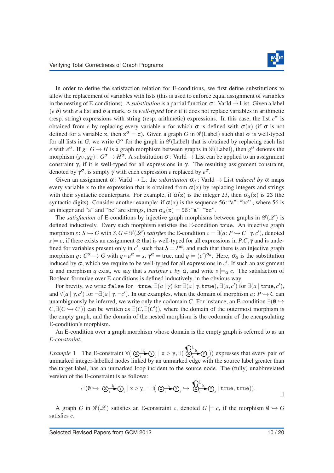In order to define the satisfaction relation for E-conditions, we first define substitutions to allow the replacement of variables with lists (this is used to enforce equal assignment of variables in the nesting of E-conditions). A *substitution* is a partial function  $\sigma$ : VarId  $\rightarrow$  List. Given a label  $(e b)$  with *e* a list and *b* a mark,  $\sigma$  is *well-typed* for *e* if it does not replace variables in arithmetic (resp. string) expressions with string (resp. arithmetic) expressions. In this case, the list  $e^{\sigma}$  is obtained from *e* by replacing every variable x for which  $\sigma$  is defined with  $\sigma(x)$  (if  $\sigma$  is not defined for a variable x, then  $x^{\sigma} = x$ ). Given a graph *G* in  $\mathscr{G}($ Label) such that  $\sigma$  is well-typed for all lists in *G*, we write  $G^{\sigma}$  for the graph in  $\mathscr{G}($ Label) that is obtained by replacing each list *e* with  $e^{\sigma}$ . If *g*:  $G \rightarrow H$  is a graph morphism between graphs in  $\mathscr{G}$  (Label), then  $g^{\sigma}$  denotes the morphism  $\langle g_V, g_E \rangle$ :  $G^{\sigma} \to H^{\sigma}$ . A substitution  $\sigma$ : VarId  $\to$  List can be applied to an assignment constraint  $\gamma$ , if it is well-typed for all expressions in  $\gamma$ . The resulting assignment constraint, denoted by γ σ , is simply γ with each expression *e* replaced by *e* σ .

Given an assignment  $\alpha$ : VarId  $\rightarrow \mathbb{L}$ , the *substitution*  $\sigma_{\alpha}$ : VarId  $\rightarrow$  List *induced by*  $\alpha$  maps every variable x to the expression that is obtained from  $\alpha(x)$  by replacing integers and strings with their syntactic counterparts. For example, if  $\alpha(x)$  is the integer 23, then  $\sigma_{\alpha}(x)$  is 23 (the syntactic digits). Consider another example: if  $\alpha(x)$  is the sequence 56: "a": "bc", where 56 is an integer and "a" and "bc" are strings, then  $\sigma_{\alpha}(x) = 56$ : "a": "bc".

The *satisfaction* of E-conditions by injective graph morphisms between graphs in  $\mathscr{G}(\mathscr{L})$  is defined inductively. Every such morphism satisfies the E-condition true. An injective graph morphism  $s: S \hookrightarrow G$  with  $S, G \in \mathscr{G}(\mathscr{L})$  *satisfies* the E-condition  $c = \exists (a: P \hookrightarrow C | \gamma, c')$ , denoted  $s \models c$ , if there exists an assignment  $\alpha$  that is well-typed for all expressions in *P*,*C*,  $\gamma$  and is undefined for variables present only in  $c'$ , such that  $S = P^{\alpha}$ , and such that there is an injective graph morphism  $q: C^{\alpha} \hookrightarrow G$  with  $q \circ a^{\alpha} = s$ ,  $\gamma^{\alpha} =$  true, and  $q \models (c')^{\sigma_{\alpha}}$ . Here,  $\sigma_{\alpha}$  is the substitution induced by  $\alpha$ , which we require to be well-typed for all expressions in  $c'$ . If such an assignment  $\alpha$  and morphism *q* exist, we say that *s satisfies* c by  $\alpha$ , and write  $s \models_{\alpha} c$ . The satisfaction of Boolean formulae over E-conditions is defined inductively, in the obvious way.

For brevity, we write false for ¬true,  $\exists (a\mid \gamma)$  for  $\exists (a\mid \gamma, \texttt{true}),$   $\exists (a, c')$  for  $\exists (a\mid \texttt{true}, c'),$ and  $\forall (a \mid \gamma, c')$  for  $\neg \exists (a \mid \gamma, \neg c')$ . In our examples, when the domain of morphism  $a: P \hookrightarrow C$  can unambiguously be inferred, we write only the codomain *C*. For instance, an E-condition  $\exists(\emptyset \rightarrow$  $C, \exists (C \hookrightarrow C')$  can be written as  $\exists (C, \exists (C'))$ , where the domain of the outermost morphism is the empty graph, and the domain of the nested morphism is the codomain of the encapsulating E-condition's morphism.

<span id="page-10-0"></span>An E-condition over a graph morphism whose domain is the empty graph is referred to as an *E-constraint*.

*Example* 1 The E-constraint  $\forall (\circled{x_1^R} \in \mathcal{D}_2)$  $\bigotimes_{2} | x > y, \exists (\bigotimes_{1}^{k} \bigotimes_{2} y)$  $\left(\frac{k}{k}\right)$  (3)) expresses that every pair of unmarked integer-labelled nodes linked by an unmarked edge with the source label greater than the target label, has an unmarked loop incident to the source node. The (fully) unabbreviated version of the E-constraint is as follows:

$$
\neg \exists (\emptyset \hookrightarrow \textcircled{x}_{1} \overset{k}{\longrightarrow} \textcircled{y}_{2} \mid x > y, \neg \exists (\textcircled{x}_{1} \overset{k}{\longrightarrow} \textcircled{y}_{2} \hookrightarrow \textcircled{x}_{1}^{1} \overset{k}{\longrightarrow} \textcircled{y}_{2} \mid \text{true}, \text{true})).
$$

A graph *G* in  $\mathscr{G}(\mathscr{L})$  satisfies an E-constraint *c*, denoted  $G \models c$ , if the morphism  $\emptyset \hookrightarrow G$ satisfies *c*.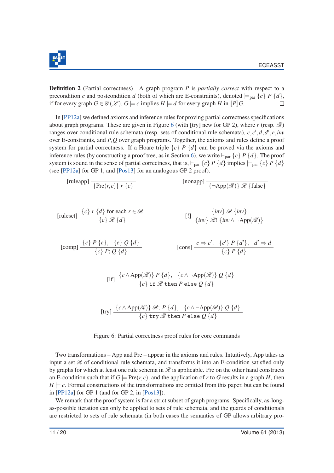

**Definition 2** (Partial correctness) A graph program *P* is *partially correct* with respect to a precondition *c* and postcondition *d* (both of which are E-constraints), denoted  $\models_{par} {c} P {d}$ , if for every graph *G* ∈  $\mathcal{G}(\mathcal{L})$ , *G*  $\models$  *c* implies *H*  $\models$  *d* for every graph *H* in  $\llbracket P \rrbracket$ *G*.  $\Box$ 

In [\[PP12a\]](#page-20-3) we defined axioms and inference rules for proving partial correctness specifications about graph programs. These are given in Figure [6](#page-11-0) (with [try] new for GP 2), where  $r$  (resp.  $\mathcal{R}$ ) ranges over conditional rule schemata (resp. sets of conditional rule schemata),  $c, c', d, d', e, inv$ over E-constraints, and *P*,*Q* over graph programs. Together, the axioms and rules define a proof system for partial correctness. If a Hoare triple  $\{c\}$  *P*  $\{d\}$  can be proved via the axioms and inference rules (by constructing a proof tree, as in Section [6\)](#page-13-0), we write  $\vdash_{\text{par}} \{c\}$  *P*  $\{d\}$ . The proof system is sound in the sense of partial correctness, that is,  $\vdash_{par} \{c\} P \{d\}$  implies  $\models_{par} \{c\} P \{d\}$ (see [\[PP12a\]](#page-20-3) for GP 1, and [\[Pos13\]](#page-20-6) for an analogous GP 2 proof).

<span id="page-11-0"></span>[ruleapp] 
$$
\frac{}{\text{[ruleapp] } \left\{ \text{Pre}(r,c) \right\} r \{c\} }
$$
 [nonapp]  $\frac{}{\text{[open] } \left\{ \text{--App}(\mathcal{R}) \right\} \mathcal{R} \{ \text{false} \}}$ 

[ruleset] 
$$
\frac{\{c\} \ r \{d\} \text{ for each } r \in \mathcal{R}}{\{c\} \mathcal{R} \{d\}}
$$
 [!]  $\frac{\{\text{inv}\} \mathcal{R} \{\text{inv}\}}{\{\text{inv}\} \mathcal{R}! \{\text{inv}\} \wedge \neg \text{App}(\mathcal{R})\}}$ 

[comp] 
$$
\frac{\{c\} P \{e\}, \{e\} Q \{d\}}{\{c\} P; Q \{d\}}
$$
 [cons]  $\frac{c \Rightarrow c', \{c'\} P \{d'\}, d' \Rightarrow d}{\{c\} P \{d\}}$ 

$$
[if] \frac{\{c \land \mathrm{App}(\mathscr{R})\} P \{d\}, \{c \land \neg \mathrm{App}(\mathscr{R})\} Q \{d\}}{\{c\} \text{ if } \mathscr{R} \text{ then } P \text{ else } Q \{d\}}
$$

$$
[try] \frac{\{c \land \mathrm{App}(\mathscr{R})\} \mathscr{R}; P \{d\}, \{c \land \neg \mathrm{App}(\mathscr{R})\} Q \{d\}}{\{c\} \mathrm{try} \mathscr{R} \mathrm{ then } P \mathrm{ else } Q \{d\}}
$$

#### Figure 6: Partial correctness proof rules for core commands

Two transformations – App and Pre – appear in the axioms and rules. Intuitively, App takes as input a set  $\mathcal R$  of conditional rule schemata, and transforms it into an E-condition satisfied only by graphs for which at least one rule schema in  $\mathcal R$  is applicable. Pre on the other hand constructs an E-condition such that if  $G \models \text{Pre}(r, c)$ , and the application of r to G results in a graph H, then  $H \models c$ . Formal constructions of the transformations are omitted from this paper, but can be found in [\[PP12a\]](#page-20-3) for GP 1 (and for GP 2, in [\[Pos13\]](#page-20-6)).

We remark that the proof system is for a strict subset of graph programs. Specifically, as-longas-possible iteration can only be applied to sets of rule schemata, and the guards of conditionals are restricted to sets of rule schemata (in both cases the semantics of GP allows arbitrary pro-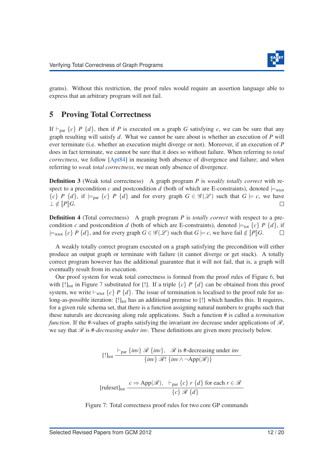

grams). Without this restriction, the proof rules would require an assertion language able to express that an arbitrary program will not fail.

### <span id="page-12-0"></span>5 Proving Total Correctness

If  $\vdash_{par} \{c\}$  *P*  $\{d\}$ , then if *P* is executed on a graph *G* satisfying *c*, we can be sure that any graph resulting will satisfy *d*. What we cannot be sure about is whether an execution of *P* will ever terminate (i.e. whether an execution might diverge or not). Moreover, if an execution of *P* does in fact terminate, we cannot be sure that it does so without failure. When referring to *total correctness*, we follow [\[Apt84\]](#page-19-5) in meaning both absence of divergence and failure; and when referring to *weak total correctness*, we mean only absence of divergence.

Definition 3 (Weak total correctness) A graph program *P* is *weakly totally correct* with respect to a precondition *c* and postcondition *d* (both of which are E-constraints), denoted  $\models_{\text{wtot}}$  ${c}$  *P*  ${d}$ , if  $\models_{par} {c}$  *P*  ${d}$  and for every graph  $G \in \mathcal{G}(\mathcal{L})$  such that  $G \models c$ , we have  $\perp \notin [P]$ *G*.  $\Box$ 

**Definition 4** (Total correctness) A graph program *P* is *totally correct* with respect to a precondition *c* and postcondition *d* (both of which are E-constraints), denoted  $\models_{tot} {c} P {d}$ , if  $\models$ wtot  ${c}$  *P*  ${d}$ , and for every graph  $G \in \mathcal{G}(\mathcal{L})$  such that  $G \models c$ , we have fail  $\notin$   $\llbracket P \rrbracket G$ .  $\Box$ 

A weakly totally correct program executed on a graph satisfying the precondition will either produce an output graph or terminate with failure (it cannot diverge or get stuck). A totally correct program however has the additional guarantee that it will not fail, that is, a graph will eventually result from its execution.

Our proof system for weak total correctness is formed from the proof rules of Figure [6,](#page-11-0) but with [!]<sub>tot</sub> in Figure [7](#page-12-1) substituted for [!]. If a triple  $\{c\}$  *P*  $\{d\}$  can be obtained from this proof system, we write  $\vdash_{\text{wtot}} \{c\}$  *P* {*d*}. The issue of termination is localised to the proof rule for aslong-as-possible iteration:  $[!]_{tot}$  has an additional premise to  $[!]$  which handles this. It requires, for a given rule schema set, that there is a function assigning natural numbers to graphs such that these naturals are decreasing along rule applications. Such a function # is called a *termination function*. If the #-values of graphs satisfying the invariant *inv* decrease under applications of  $\mathcal{R}$ , we say that  $\mathcal R$  is #-*decreasing under inv*. These definitions are given more precisely below.

<span id="page-12-1"></span>
$$
[!]_{\text{tot}} \xrightarrow{ \vdash_{\text{par}} \{inv\} \mathcal{R} \{inv\}, \quad \mathcal{R} \text{ is #-decreasing under } inv } \{ inv \} \mathcal{R}! \{ inv \land \neg \text{App}(\mathcal{R}) \}
$$

[ruleset]<sub>tot</sub> 
$$
\frac{c \Rightarrow \mathrm{App}(\mathscr{R}), \quad \vdash_{\mathrm{par}} \{c\} \ r \ \{d\} \ \text{for each} \ r \in \mathscr{R}}{\{c\} \ \mathscr{R} \ \{d\}}
$$

<span id="page-12-2"></span>Figure 7: Total correctness proof rules for two core GP commands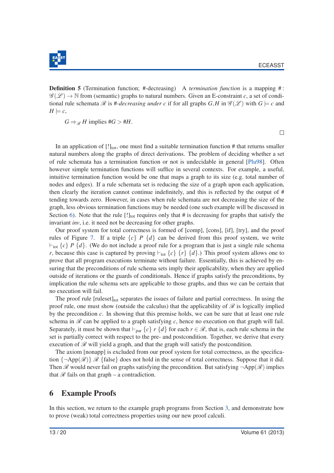

**Definition 5** (Termination function; #-decreasing) A *termination function* is a mapping #:  $\mathscr{G}(\mathscr{L}) \to \mathbb{N}$  from (semantic) graphs to natural numbers. Given an E-constraint *c*, a set of conditional rule schemata  $\mathcal{R}$  is #-*decreasing under c* if for all graphs *G*,*H* in  $\mathcal{G}(\mathcal{L})$  with  $G \models c$  and  $H \models c$ ,

 $G \Rightarrow_{\mathscr{R}} H$  implies  $\#G > \#H$ .

 $\Box$ 

In an application of  $[!]_{tot}$ , one must find a suitable termination function # that returns smaller natural numbers along the graphs of direct derivations. The problem of deciding whether a set of rule schemata has a termination function or not is undecidable in general [\[Plu98\]](#page-20-8). Often however simple termination functions will suffice in several contexts. For example, a useful, intuitive termination function would be one that maps a graph to its size (e.g. total number of nodes and edges). If a rule schemata set is reducing the size of a graph upon each application, then clearly the iteration cannot continue indefinitely, and this is reflected by the output of # tending towards zero. However, in cases when rule schemata are not decreasing the size of the graph, less obvious termination functions may be needed (one such example will be discussed in Section [6\)](#page-13-0). Note that the rule  $[!]_{tot}$  requires only that # is decreasing for graphs that satisfy the invariant *inv*, i.e. it need not be decreasing for other graphs.

Our proof system for total correctness is formed of [comp], [cons], [if], [try], and the proof rules of Figure [7.](#page-12-1) If a triple  $\{c\}$  *P*  $\{d\}$  can be derived from this proof system, we write  $\vdash_{\text{tot}} \{c\}$  *P*  $\{d\}$ . (We do not include a proof rule for a program that is just a single rule schema *r*, because this case is captured by proving  $\vdash_{\text{tot}} \{c\}$  {*r*}  $\{d\}$ .) This proof system allows one to prove that all program executions terminate without failure. Essentially, this is achieved by ensuring that the preconditions of rule schema sets imply their applicability, when they are applied outside of iterations or the guards of conditionals. Hence if graphs satisfy the preconditions, by implication the rule schema sets are applicable to those graphs, and thus we can be certain that no execution will fail.

The proof rule  $[ruleset]_{tot}$  separates the issues of failure and partial correctness. In using the proof rule, one must show (outside the calculus) that the applicability of  $\mathscr R$  is logically implied by the precondition *c*. In showing that this premise holds, we can be sure that at least one rule schema in  $\mathcal R$  can be applied to a graph satisfying  $c$ , hence no execution on that graph will fail. Separately, it must be shown that  $\vdash_{par} \{c\}$  *r*  $\{d\}$  for each *r* ∈  $\mathcal{R}$ , that is, each rule schema in the set is partially correct with respect to the pre- and postcondition. Together, we derive that every execution of  $\mathcal R$  will yield a graph, and that the graph will satisfy the postcondition.

The axiom [nonapp] is excluded from our proof system for total correctness, as the specification  $\{\neg \text{App}(\mathcal{R})\}\mathcal{R}$  {false} does not hold in the sense of total correctness. Suppose that it did. Then  $\mathscr R$  would never fail on graphs satisfying the precondition. But satisfying  $\neg$ App( $\mathscr R$ ) implies that  $\mathscr R$  fails on that graph – a contradiction.

### <span id="page-13-0"></span>6 Example Proofs

In this section, we return to the example graph programs from Section [3,](#page-4-0) and demonstrate how to prove (weak) total correctness properties using our new proof calculi.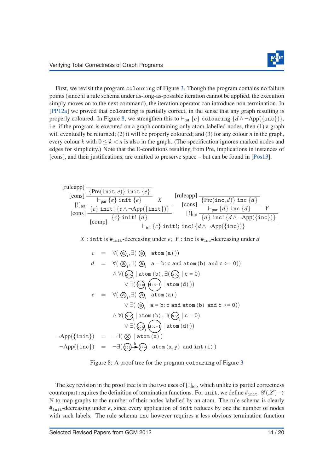First, we revisit the program colouring of Figure [3.](#page-7-0) Though the program contains no failure points (since if a rule schema under as-long-as-possible iteration cannot be applied, the execution simply moves on to the next command), the iteration operator can introduce non-termination. In [\[PP12a\]](#page-20-3) we proved that colouring is partially correct, in the sense that any graph resulting is properly coloured. In Figure [8,](#page-14-0) we strengthen this to  $\vdash_{\text{tot}} \{c\}$  colouring  $\{d \land \neg \text{App}(\{\text{inc}\})\}$ , i.e. if the program is executed on a graph containing only atom-labelled nodes, then (1) a graph will eventually be returned; (2) it will be properly coloured; and (3) for any colour *n* in the graph, every colour *k* with  $0 \le k \le n$  is also in the graph. (The specification ignores marked nodes and edges for simplicity.) Note that the E-conditions resulting from Pre, implications in instances of [cons], and their justifications, are omitted to preserve space – but can be found in [\[Pos13\]](#page-20-6).

<span id="page-14-0"></span>

*X* : init is  $\#_{\text{init}}$ -decreasing under *e*; *Y* : inc is  $\#_{\text{inc}}$ -decreasing under *d* 

$$
c = \forall (\circledast, \exists (\circledast, \exists (\circledast, \exists \text{ atom } (a)))
$$
\n
$$
d = \forall (\circledast, \exists (\circledast, \exists \text{ atom } (b)) \text{ and } c >= 0))
$$
\n
$$
\land \forall (\circledast, \exists (\circledast, \exists \text{ atom } (b), \exists (\circledast, \exists \text{ atom } (d)))
$$
\n
$$
e = \forall (\circledast, \exists (\circledast, \exists \text{ atom } (a)))
$$
\n
$$
e = \forall (\circledast, \exists (\circledast, \exists \text{ atom } (a)))
$$
\n
$$
\lor \exists (\circledast, \exists (\circledast, \exists \text{ atom } (a)))
$$
\n
$$
\lor \forall (\circledast, \exists (\circledast, \exists \text{ atom } (b)), \exists (\circledast, \exists \text{ cm } (c == 0))
$$
\n
$$
\land \forall (\circledast, \exists \text{ atom } (b), \exists (\circledast, \exists \text{ atom } (d)))
$$
\n
$$
\neg \text{App}(\{\text{init}\}) = \neg \exists (\circledast, \exists \text{ atom } (x))
$$
\n
$$
\neg \text{App}(\{\text{inc}\}) = \neg \exists (\circledast, \exists \text{ atom } (x, y) \text{ and } \text{int } (\exists \text{min } (b))
$$



The key revision in the proof tree is in the two uses of  $[!]_{tot}$ , which unlike its partial correctness counterpart requires the definition of termination functions. For init, we define  $\#_{init}$ :  $\mathscr{G}(\mathscr{L}) \rightarrow$ N to map graphs to the number of their nodes labelled by an atom. The rule schema is clearly #init-decreasing under *e*, since every application of init reduces by one the number of nodes with such labels. The rule schema inc however requires a less obvious termination function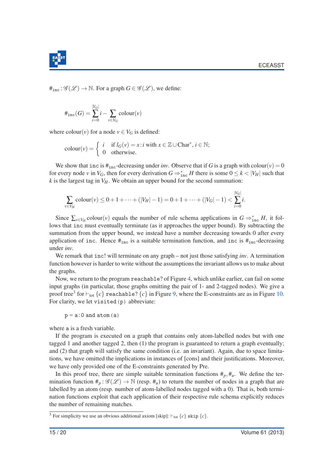

 $\#_{\text{inc}} : \mathscr{G}(\mathscr{L}) \to \mathbb{N}$ . For a graph  $G \in \mathscr{G}(\mathscr{L})$ , we define:

$$
\#_{\text{inc}}(G) = \sum_{i=0}^{|V_G|} i - \sum_{v \in V_G} \text{colour}(v)
$$

where  $\text{colour}(v)$  for a node  $v \in V_G$  is defined:

$$
colour(v) = \begin{cases} i & \text{if } l_G(v) = x : i \text{ with } x \in \mathbb{Z} \cup \text{Char}^*, i \in \mathbb{N}; \\ 0 & \text{otherwise.} \end{cases}
$$

We show that inc is  $\#_{\text{inc}}$ -decreasing under *inv*. Observe that if *G* is a graph with colour(*v*) = 0 for every node *v* in  $V_G$ , then for every derivation  $G \Rightarrow_{\text{inc}}^* H$  there is some  $0 \le k < |V_H|$  such that  $k$  is the largest tag in  $V_H$ . We obtain an upper bound for the second summation:

$$
\sum_{v \in V_H} \text{colour}(v) \le 0 + 1 + \dots + (|V_H| - 1) = 0 + 1 + \dots + (|V_G| - 1) < \sum_{i=0}^{|V_G|} i.
$$

Since  $\sum_{v \in V_H}$  colour(*v*) equals the number of rule schema applications in  $G \Rightarrow_{\text{inc}}^* H$ , it follows that inc must eventually terminate (as it approaches the upper bound). By subtracting the summation from the upper bound, we instead have a number decreasing towards 0 after every application of inc. Hence  $\#_{\text{inc}}$  is a suitable termination function, and inc is  $\#_{\text{inc}}$ -decreasing under *inv*.

We remark that inc! will terminate on any graph – not just those satisfying *inv*. A termination function however is harder to write without the assumptions the invariant allows us to make about the graphs.

Now, we return to the program reachable? of Figure [4,](#page-8-1) which unlike earlier, can fail on some input graphs (in particular, those graphs omitting the pair of 1- and 2-tagged nodes). We give a proof tree<sup>[3](#page-15-0)</sup> for  $\vdash_{\text{tot}} \{c\}$  reachable?  $\{c\}$  in Figure [9,](#page-16-0) where the E-constraints are as in Figure [10.](#page-17-1) For clarity, we let visited (p) abbreviate:

$$
p = a: 0 \text{ and atom } (a)
$$

where a is a fresh variable.

If the program is executed on a graph that contains only atom-labelled nodes but with one tagged 1 and another tagged 2, then (1) the program is guaranteed to return a graph eventually; and (2) that graph will satisfy the same condition (i.e. an invariant). Again, due to space limitations, we have omitted the implications in instances of [cons] and their justifications. Moreover, we have only provided one of the E-constraints generated by Pre.

In this proof tree, there are simple suitable termination functions  $\#_p, \#_u$ . We define the termination function  $\#_p : \mathscr{G}(\mathscr{L}) \to \mathbb{N}$  (resp.  $\#_u$ ) to return the number of nodes in a graph that are labelled by an atom (resp. number of atom-labelled nodes tagged with a 0). That is, both termination functions exploit that each application of their respective rule schema explicitly reduces the number of remaining matches.

<span id="page-15-0"></span><sup>&</sup>lt;sup>3</sup> For simplicity we use an obvious additional axiom [skip]:  $\vdash_{\text{tot}} {c}$  skip  ${c}$ .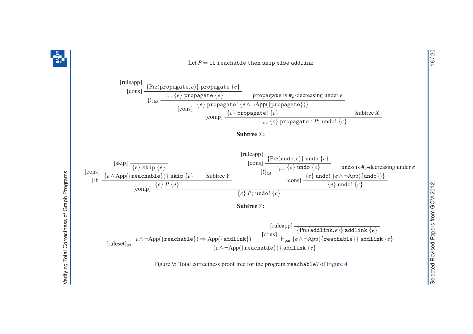

#### [ruleapp]  ${\rm [cons] \over {\rm [frec[propagate,e)] \, propagate} \, \{e\}}$  $\frac{[!]_{\text{tot}} \leftarrow$  **propagate {***e***} propagate is #***p*-decreasing under *e* {*e*} propagate! {*e*<sup>∧</sup> <sup>¬</sup>App({propagate})} [cons]  ${c}$ } propagate!  ${e}$ *X* [comp] <sup>⊢</sup>tot {*c*} propagate!; *<sup>P</sup>*; undo! {*c*} Subtree *X*: [skip]  $[cons]$   $\frac{\{e\}\text{skip}\{e\}}{(cons) \cdot \frac{\{e\}\text{skip}}{(cons) \cdot \{e\}}}{(cons) \cdot \frac{\{e\}\text{skip}}{(cons) \cdot \{e\}}}{(cons) \cdot \{e\}}$  ${e \wedge \text{App}(\{\text{reachable}\})\}$  skip  ${e}$ *Y*  $[if]$ {*e*} *<sup>P</sup>* {*e*} [ruleapp]  ${\text{[Cons]}\over \text{[cons]}\over \text{[par} \{e\} \text{ undo} \{e\}}$  $\left[\frac{v_{\text{net}}}{v_{\text{net}}} + \frac{v_{\text{part}}}{v_{\text{net}}} \right]$  undo is  $\#_u$ -decreasing under *e*  $[cons] \frac{\{e\} \text{undo!} \{e \wedge \neg \text{App}(\{\text{undo}\})\}}{\{e\} \text{undo!} \{c\}}$  $[comp] \frac{\{e\} P \{e\}}{]}$  [comp]  $\frac{\{e\} \text{undo! } \{c\}}{]}$ {*e*} *<sup>P</sup>*; undo! {*c*} Subtree *Y*:  $e \wedge \neg \text{App}(\{\texttt{reachable}\}) \Rightarrow \text{App}(\{\texttt{addlink}\})$ [ruleapp]  ${Pre(addlink, e)}$  addlink  ${e}$ <br> $[cons]$  $\text{[ruleset]}_{\text{tot}} \xrightarrow{e \land \neg \text{App}(\{\text{reachable}\})} \Rightarrow \text{App}(\{\text{addlink}\}) \xrightarrow{[e \lor \neg \text{App}(\{\text{reachable}\}) \text{addlink}\}\text{addlink}\{e\})}$ {*e*<sup>∧</sup> ¬App({reachable})} addlink {*e*}

<span id="page-16-0"></span>Figure 9: Total correctness proo<sup>f</sup> tree for the program reachable? of Figure [4](#page-8-2)

 $\operatorname{Let} P = \text{if reachable then skip else addlink}$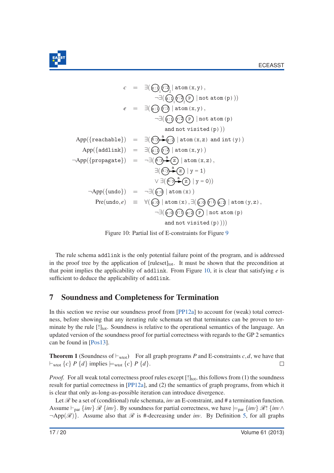

<span id="page-17-1"></span>
$$
c = \exists (\overline{x}:\overline{y}, \overline{y}:\overline{y}) \text{ atom } (x, y),
$$

$$
\neg \exists (\overline{x}:\overline{y}, \overline{y}:\overline{y}) \text{ from } (x, y),
$$

$$
e = \exists (\overline{x}:\overline{y}, \overline{y}:\overline{y}) \text{ atom } (x, y),
$$

$$
\neg \exists (\overline{x}:\overline{y}, \overline{y}) \text{ atom } (x, y),
$$

$$
\neg \exists (\overline{x}:\overline{y}, \overline{y}) \text{ from } x, y),
$$

$$
\neg \exists (\overline{x}:\overline{y}, \overline{y}) \text{ from } x, z) \text{ and } \text{int } (y))
$$
and not visited (p))
$$
App(\{\text{reachable}\}) = \exists (\overline{x}:\overline{y}, \overline{y}) \text{ atom } (x, z) \text{ and } \text{int } (y))
$$

$$
\neg App(\{\text{propagate}\}) = \neg \exists (\overline{x}:\overline{y}, \overline{y}) \text{ atom } (x, y))
$$

$$
\neg \exists (\overline{x}:\overline{y}, \overline{y}) \text{ atom } (x, z),
$$

$$
\exists (\overline{x}:\overline{y}, \overline{y}) \text{ atom } (x, z),
$$

$$
\exists (\overline{x}:\overline{y}, \overline{y}) \text{ atom } (x, z),
$$

$$
\exists (\overline{x}:\overline{y}, \overline{y}) \text{ atom } (x, z))
$$

$$
\neg \exists (\overline{x}:\overline{y}) \text{ atom } (x))
$$

$$
\text{Pre(undo, } e) = \forall (\overline{x}:\overline{y} \text{ atom } (x), \exists (\overline{x}:\overline{y}:\overline{y}) \text{ from } x) \text{ and not visited } (p))
$$

$$
\text{and not visited } (p))))
$$

Figure 10: Partial list of E-constraints for Figure [9](#page-16-0)

The rule schema addlink is the only potential failure point of the program, and is addressed in the proof tree by the application of [ruleset]<sub>tot</sub>. It must be shown that the precondition at that point implies the applicability of addlink. From Figure [10,](#page-17-1) it is clear that satisfying *e* is sufficient to deduce the applicability of addlink.

### <span id="page-17-0"></span>7 Soundness and Completeness for Termination

In this section we revise our soundness proof from [\[PP12a\]](#page-20-3) to account for (weak) total correctness, before showing that any iterating rule schemata set that terminates can be proven to terminate by the rule  $[!]_{tot}$ . Soundness is relative to the operational semantics of the language. An updated version of the soundness proof for partial correctness with regards to the GP 2 semantics can be found in [\[Pos13\]](#page-20-6).

<span id="page-17-2"></span>**Theorem 1** (Soundness of  $\vdash_{wtot}$ ) For all graph programs *P* and E-constraints *c*,*d*, we have that  $\vdash$ <sub>wtot</sub>  $\{c\}$  *P*  $\{d\}$  implies  $\models$ <sub>wtot</sub>  $\{c\}$  *P*  $\{d\}$ .  $\Box$ 

*Proof.* For all weak total correctness proof rules except  $[!]_{tot}$ , this follows from (1) the soundness result for partial correctness in [\[PP12a\]](#page-20-3), and (2) the semantics of graph programs, from which it is clear that only as-long-as-possible iteration can introduce divergence.

Let  $\mathcal{R}$  be a set of (conditional) rule schemata, *inv* an E-constraint, and # a termination function. Assume  $\vdash_{\text{par}} \{inv\}$   $\mathcal{R} \{inv\}$ . By soundness for partial correctness, we have  $\models_{\text{par}} \{inv\}$   $\mathcal{R}! \{inv \wedge \}$  $\neg$ App $(\mathscr{R})$ . Assume also that  $\mathscr{R}$  is #-decreasing under *inv*. By Definition [5,](#page-12-2) for all graphs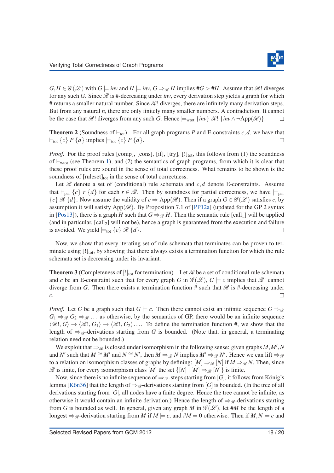$G, H \in \mathscr{G}(\mathscr{L})$  with  $G \models inv$  and  $H \models inv$ ,  $G \Rightarrow_{\mathscr{R}} H$  implies  $\#G > \#H$ . Assume that  $\mathscr{R}!$  diverges for any such *G*. Since  $\mathcal{R}$  is #-decreasing under *inv*, every derivation step yields a graph for which # returns a smaller natural number. Since  $\mathcal{R}!$  diverges, there are infinitely many derivation steps. But from any natural *n*, there are only finitely many smaller numbers. A contradiction. It cannot be the case that  $\mathcal{R}!$  diverges from any such *G*. Hence  $\models_{wtot} \{inv\} \mathcal{R}! \{inv \wedge \neg \text{App}(\mathcal{R})\}.$  $\Box$ 

**Theorem 2** (Soundness of  $\vdash_{\text{tot}}$ ) For all graph programs *P* and E-constraints *c*,*d*, we have that  $\vdash_{\text{tot}} \{c\}$  *P*  $\{d\}$  implies  $\models_{\text{tot}} \{c\}$  *P*  $\{d\}$ .  $\Box$ 

*Proof.* For the proof rules [comp], [cons], [if], [try], [!]<sub>tot</sub>, this follows from (1) the soundness of  $\vdash_{\text{wtot}}$  (see Theorem [1\)](#page-17-2), and (2) the semantics of graph programs, from which it is clear that these proof rules are sound in the sense of total correctness. What remains to be shown is the soundness of  $[ruleset]_{tot}$  in the sense of total correctness.

Let  $\mathcal R$  denote a set of (conditional) rule schemata and  $c, d$  denote E-constraints. Assume that  $\vdash_{\text{par}} \{c\}$  *r*  $\{d\}$  for each  $r \in \mathcal{R}$ . Then by soundness for partial correctness, we have  $\models_{\text{par}}$  ${c}$  R  ${d}$ . Now assume the validity of  $c \Rightarrow$  App( $\mathscr R$ ). Then if a graph  $G \in \mathscr G(\mathscr L)$  satisfies *c*, by assumption it will satisfy App $(\mathscr{R})$ . By Proposition 7.1 of [\[PP12a\]](#page-20-3) (updated for the GP 2 syntax in [\[Pos13\]](#page-20-6)), there is a graph *H* such that  $G \Rightarrow_{\mathcal{R}} H$ . Then the semantic rule [call<sub>1</sub>] will be applied (and in particular, [call2] will not be), hence a graph is guaranteed from the execution and failure is avoided. We yield  $\models_{\text{tot}} \{c\} \mathcal{R} \{d\}.$  $\Box$ 

Now, we show that every iterating set of rule schemata that terminates can be proven to terminate using  $[!]_{tot}$ , by showing that there always exists a termination function for which the rule schemata set is decreasing under its invariant.

**Theorem 3** (Completeness of  $[!]_{tot}$  for termination) Let  $\mathcal{R}$  be a set of conditional rule schemata and *c* be an E-constraint such that for every graph *G* in  $\mathscr{G}(\mathscr{L})$ ,  $G \models c$  implies that  $\mathscr{R}!$  cannot diverge from *G*. Then there exists a termination function # such that  $\mathcal{R}$  is #-decreasing under  $\Box$ *c*.

*Proof.* Let *G* be a graph such that  $G \models c$ . Then there cannot exist an infinite sequence  $G \Rightarrow g$  $G_1 \Rightarrow_{\mathcal{R}} G_2 \Rightarrow_{\mathcal{R}} \ldots$  as otherwise, by the semantics of GP, there would be an infinite sequence  $\langle \mathcal{R}, G \rangle \to \langle \mathcal{R}, G_1 \rangle \to \langle \mathcal{R}, G_2 \rangle \ldots$  To define the termination function #, we show that the length of  $\Rightarrow$ <sub>*R*</sub>-derivations starting from *G* is bounded. (Note that, in general, a terminating relation need not be bounded.)

We exploit that  $\Rightarrow$   $\mathcal{R}$  is closed under isomorphism in the following sense: given graphs *M*, *M'*, *N* and *N'* such that  $M \cong M'$  and  $N \cong N'$ , then  $M \Rightarrow_{\mathcal{R}} N$  implies  $M' \Rightarrow_{\mathcal{R}} N'$ . Hence we can lift  $\Rightarrow_{\mathcal{R}} N'$ to a relation on isomorphism classes of graphs by defining:  $[M] \Rightarrow_{\mathscr{R}} [N]$  if  $M \Rightarrow_{\mathscr{R}} N$ . Then, since  $\mathscr R$  is finite, for every isomorphism class  $[M]$  the set  $\{[N] \mid [M] \Rightarrow_{\mathscr R} [N] \}$  is finite.

Now, since there is no infinite sequence of  $\Rightarrow_{\mathcal{R}}$ -steps starting from [*G*], it follows from König's lemma [Kön36] that the length of  $\Rightarrow \mathcal{D}$ -derivations starting from [*G*] is bounded. (In the tree of all derivations starting from [*G*], all nodes have a finite degree. Hence the tree cannot be infinite, as otherwise it would contain an infinite derivation.) Hence the length of  $\Rightarrow \mathscr{D}$ -derivations starting from *G* is bounded as well. In general, given any graph *M* in  $\mathscr{G}(\mathscr{L})$ , let #*M* be the length of a longest  $\Rightarrow$  *R*-derivation starting from *M* if  $M \models c$ , and  $#M = 0$  otherwise. Then if  $M, N \models c$  and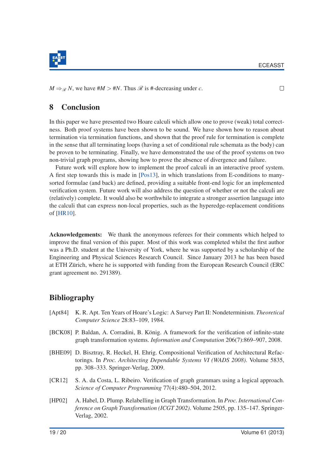$\Box$ 



 $M \Rightarrow \mathcal{R}$  *N*, we have  $\sharp M > \sharp N$ . Thus  $\mathcal{R}$  is #-decreasing under *c*.

# <span id="page-19-3"></span>8 Conclusion

In this paper we have presented two Hoare calculi which allow one to prove (weak) total correctness. Both proof systems have been shown to be sound. We have shown how to reason about termination via termination functions, and shown that the proof rule for termination is complete in the sense that all terminating loops (having a set of conditional rule schemata as the body) can be proven to be terminating. Finally, we have demonstrated the use of the proof systems on two non-trivial graph programs, showing how to prove the absence of divergence and failure.

Future work will explore how to implement the proof calculi in an interactive proof system. A first step towards this is made in [\[Pos13\]](#page-20-6), in which translations from E-conditions to manysorted formulae (and back) are defined, providing a suitable front-end logic for an implemented verification system. Future work will also address the question of whether or not the calculi are (relatively) complete. It would also be worthwhile to integrate a stronger assertion language into the calculi that can express non-local properties, such as the hyperedge-replacement conditions of [\[HR10\]](#page-20-10).

Acknowledgements: We thank the anonymous referees for their comments which helped to improve the final version of this paper. Most of this work was completed whilst the first author was a Ph.D. student at the University of York, where he was supported by a scholarship of the Engineering and Physical Sciences Research Council. Since January 2013 he has been based at ETH Zürich, where he is supported with funding from the European Research Council (ERC) grant agreement no. 291389).

# Bibliography

- <span id="page-19-5"></span>[Apt84] K. R. Apt. Ten Years of Hoare's Logic: A Survey Part II: Nondeterminism. *Theoretical Computer Science* 28:83–109, 1984.
- <span id="page-19-0"></span>[BCK08] P. Baldan, A. Corradini, B. König. A framework for the verification of infinite-state graph transformation systems. *Information and Computation* 206(7):869–907, 2008.
- <span id="page-19-1"></span>[BHE09] D. Bisztray, R. Heckel, H. Ehrig. Compositional Verification of Architectural Refactorings. In *Proc. Architecting Dependable Systems VI (WADS 2008)*. Volume 5835, pp. 308–333. Springer-Verlag, 2009.
- <span id="page-19-2"></span>[CR12] S. A. da Costa, L. Ribeiro. Verification of graph grammars using a logical approach. *Science of Computer Programming* 77(4):480–504, 2012.
- <span id="page-19-4"></span>[HP02] A. Habel, D. Plump. Relabelling in Graph Transformation. In *Proc. International Conference on Graph Transformation (ICGT 2002)*. Volume 2505, pp. 135–147. Springer-Verlag, 2002.